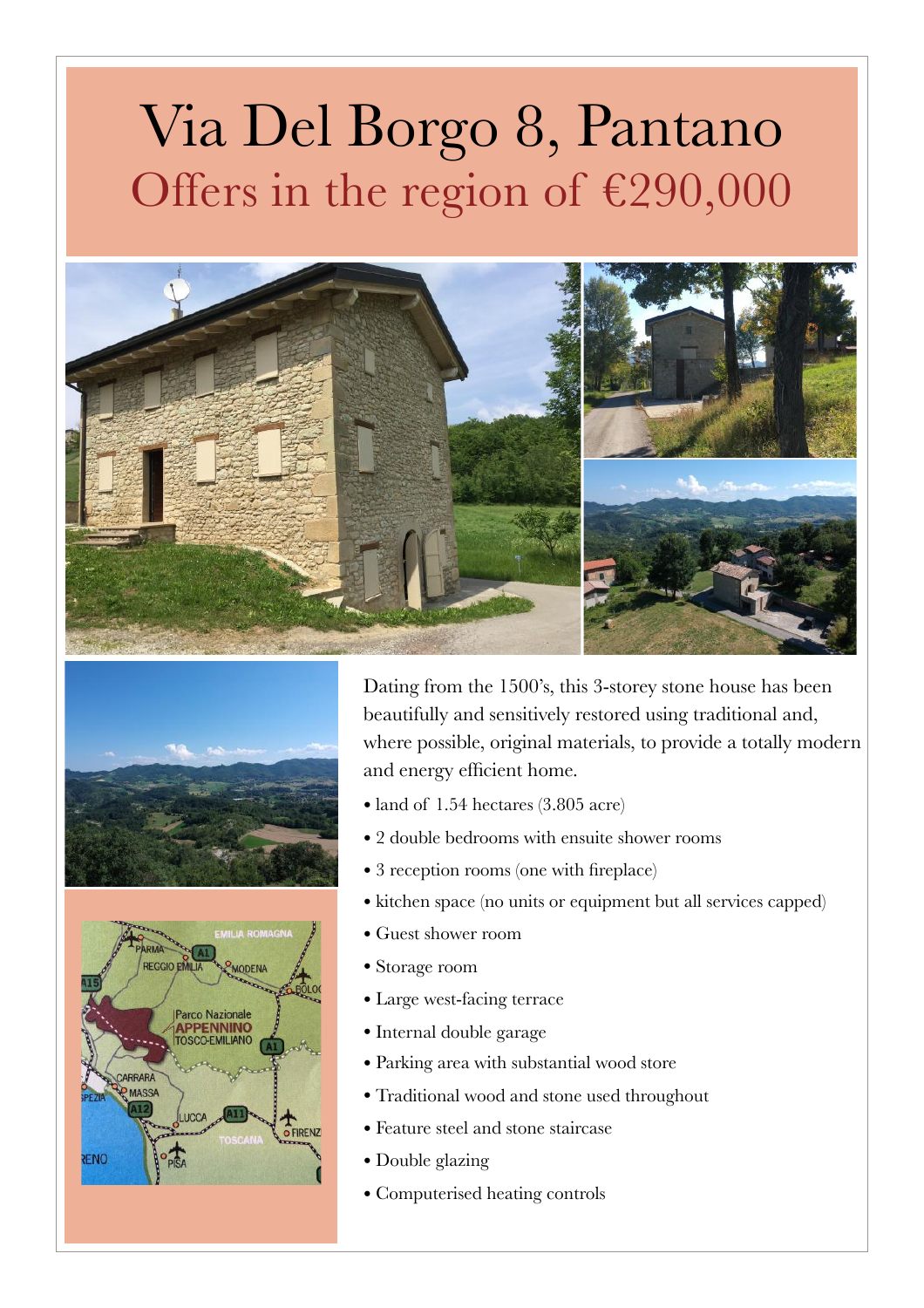## Via Del Borgo 8, Pantano Offers in the region of  $£290,000$







Dating from the 1500's, this 3-storey stone house has been beautifully and sensitively restored using traditional and, where possible, original materials, to provide a totally modern and energy efficient home.

- land of 1.54 hectares (3.805 acre)
- 2 double bedrooms with ensuite shower rooms
- 3 reception rooms (one with fireplace)
- kitchen space (no units or equipment but all services capped)
- Guest shower room
- Storage room
- Large west-facing terrace
- Internal double garage
- Parking area with substantial wood store
- Traditional wood and stone used throughout
- Feature steel and stone staircase
- Double glazing
- Computerised heating controls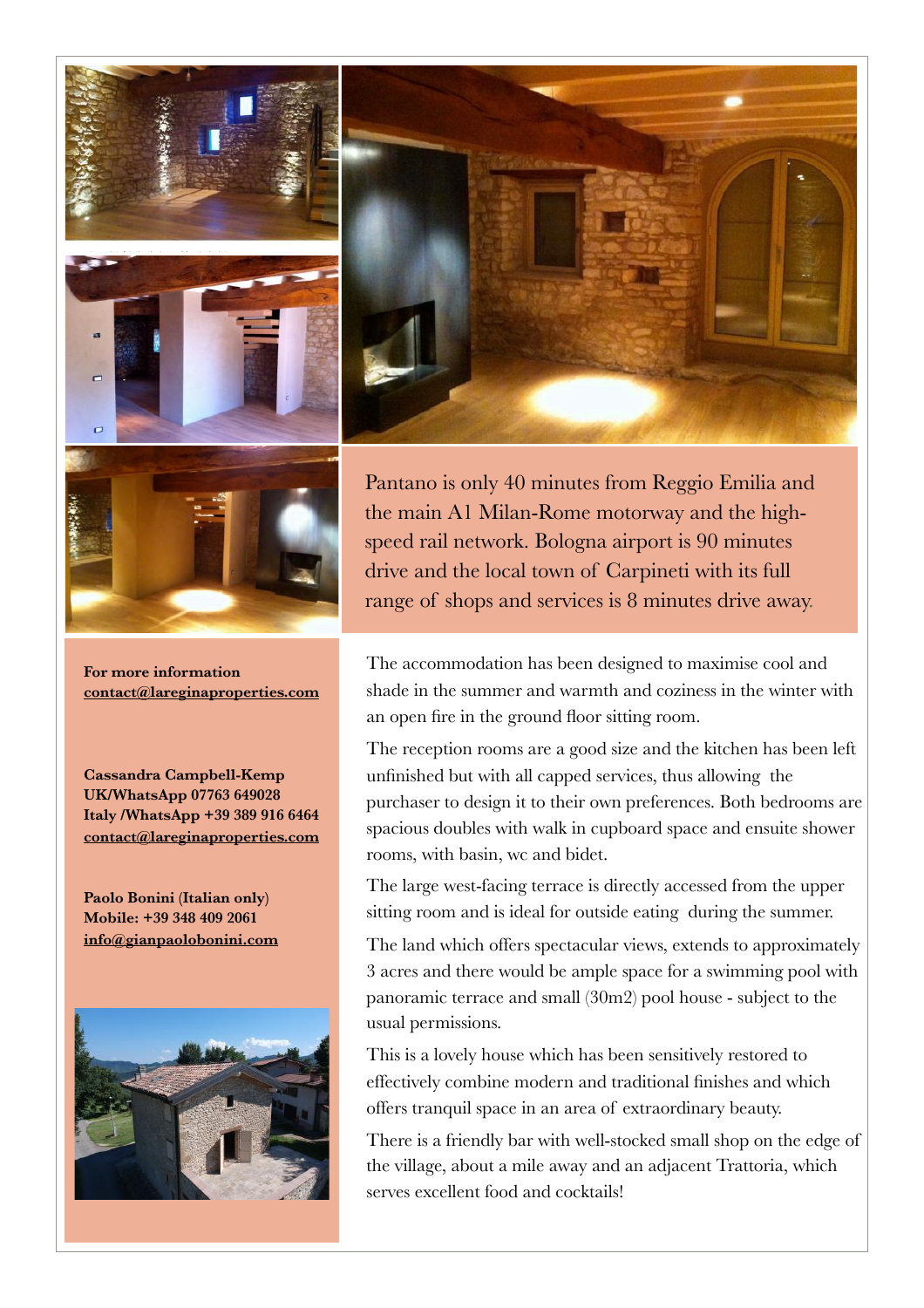







**For more information [contact@lareginaproperties.com](http://www.apple.com)**

**Cassandra Campbell-Kemp UK/WhatsApp 07763 649028 Italy /WhatsApp +39 389 916 6464 [contact@lareginaproperties.com](http://www.apple.com)**

**Paolo Bonini (Italian only) Mobile: +39 348 409 2061 [info@gianpaolobonini.com](http://www.apple.com)**



Pantano is only 40 minutes from Reggio Emilia and the main A1 Milan-Rome motorway and the highspeed rail network. Bologna airport is 90 minutes drive and the local town of Carpineti with its full range of shops and services is 8 minutes drive away.

The accommodation has been designed to maximise cool and shade in the summer and warmth and coziness in the winter with an open fire in the ground floor sitting room.

The reception rooms are a good size and the kitchen has been left unfinished but with all capped services, thus allowing the purchaser to design it to their own preferences. Both bedrooms are spacious doubles with walk in cupboard space and ensuite shower rooms, with basin, wc and bidet.

The large west-facing terrace is directly accessed from the upper sitting room and is ideal for outside eating during the summer.

The land which offers spectacular views, extends to approximately 3 acres and there would be ample space for a swimming pool with panoramic terrace and small (30m2) pool house - subject to the usual permissions.

This is a lovely house which has been sensitively restored to effectively combine modern and traditional finishes and which offers tranquil space in an area of extraordinary beauty.

There is a friendly bar with well-stocked small shop on the edge of the village, about a mile away and an adjacent Trattoria, which serves excellent food and cocktails!